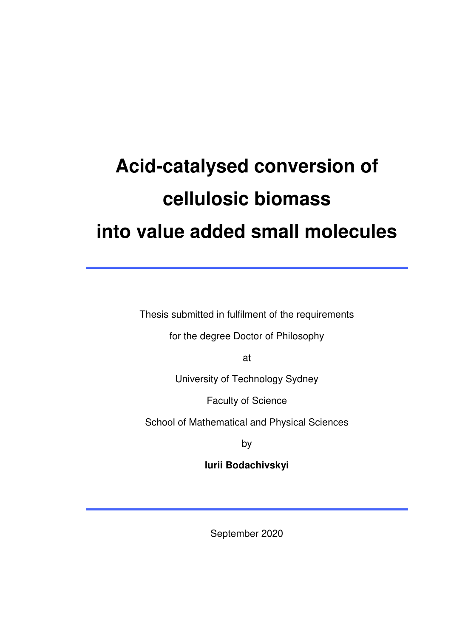# **Acid-catalysed conversion of cellulosic biomass into value added small molecules**

Thesis submitted in fulfilment of the requirements

for the degree Doctor of Philosophy

at

University of Technology Sydney

Faculty of Science

School of Mathematical and Physical Sciences

by

**Iurii Bodachivskyi**

September 2020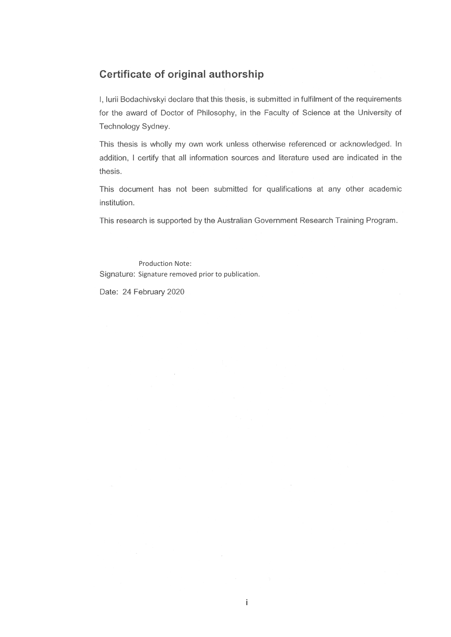#### Certificate of original authorship

I, Iurii Bodachivskyi declare that this thesis, is submitted in fulfilment of the requirements for the award of Doctor of Philosophy, in the Faculty of Science at the University of Technology Sydney.

This thesis is wholly my own work unless otherwise referenced or acknowledged. In addition, I certify that all information sources and literature used are indicated in the thesis.

This document has not been submitted for qualifications at any other academic institution.

This research is supported by the Australian Government Research Training Program.

Production Note: Signature: Signature removed prior to publication.

Date: 24 February 2020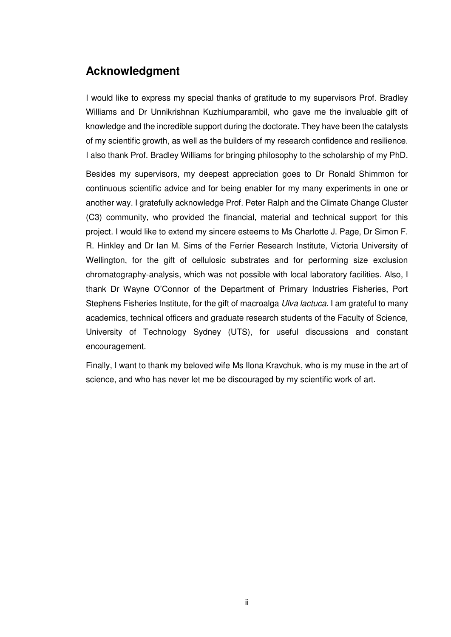#### **Acknowledgment**

I would like to express my special thanks of gratitude to my supervisors Prof. Bradley Williams and Dr Unnikrishnan Kuzhiumparambil, who gave me the invaluable gift of knowledge and the incredible support during the doctorate. They have been the catalysts of my scientific growth, as well as the builders of my research confidence and resilience. I also thank Prof. Bradley Williams for bringing philosophy to the scholarship of my PhD.

Besides my supervisors, my deepest appreciation goes to Dr Ronald Shimmon for continuous scientific advice and for being enabler for my many experiments in one or another way. I gratefully acknowledge Prof. Peter Ralph and the Climate Change Cluster (C3) community, who provided the financial, material and technical support for this project. I would like to extend my sincere esteems to Ms Charlotte J. Page, Dr Simon F. R. Hinkley and Dr Ian M. Sims of the Ferrier Research Institute, Victoria University of Wellington, for the gift of cellulosic substrates and for performing size exclusion chromatography-analysis, which was not possible with local laboratory facilities. Also, I thank Dr Wayne O'Connor of the Department of Primary Industries Fisheries, Port Stephens Fisheries Institute, for the gift of macroalga *Ulva lactuca*. I am grateful to many academics, technical officers and graduate research students of the Faculty of Science, University of Technology Sydney (UTS), for useful discussions and constant encouragement.

Finally, I want to thank my beloved wife Ms Ilona Kravchuk, who is my muse in the art of science, and who has never let me be discouraged by my scientific work of art.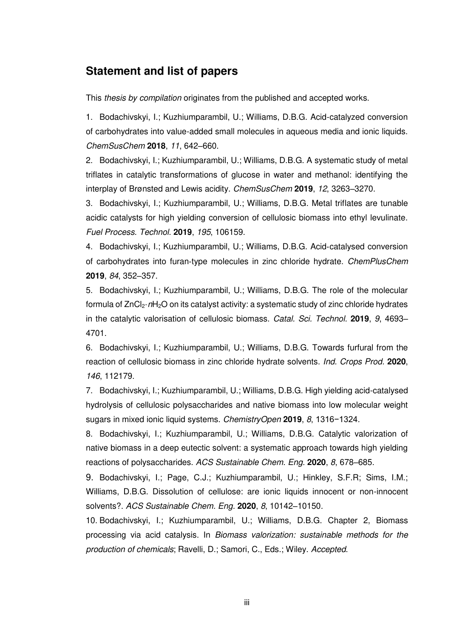#### **Statement and list of papers**

This *thesis by compilation* originates from the published and accepted works.

1. Bodachivskyi, I.; Kuzhiumparambil, U.; Williams, D.B.G. Acid-catalyzed conversion of carbohydrates into value-added small molecules in aqueous media and ionic liquids. *ChemSusChem* **2018**, *11*, 642–660.

2. Bodachivskyi, I.; Kuzhiumparambil, U.; Williams, D.B.G. A systematic study of metal triflates in catalytic transformations of glucose in water and methanol: identifying the interplay of Brønsted and Lewis acidity. *ChemSusChem* **2019**, *12*, 3263–3270.

3. Bodachivskyi, I.; Kuzhiumparambil, U.; Williams, D.B.G. Metal triflates are tunable acidic catalysts for high yielding conversion of cellulosic biomass into ethyl levulinate. *Fuel Process. Technol.* **2019**, *195*, 106159.

4. Bodachivskyi, I.; Kuzhiumparambil, U.; Williams, D.B.G. Acid‐catalysed conversion of carbohydrates into furan‐type molecules in zinc chloride hydrate. *ChemPlusChem* **2019**, *84*, 352–357.

5. Bodachivskyi, I.; Kuzhiumparambil, U.; Williams, D.B.G. The role of the molecular formula of ZnCl<sub>2</sub>·*n*H<sub>2</sub>O on its catalyst activity: a systematic study of zinc chloride hydrates in the catalytic valorisation of cellulosic biomass. *Catal. Sci. Technol.* **2019**, *9*, 4693– 4701.

6. Bodachivskyi, I.; Kuzhiumparambil, U.; Williams, D.B.G. Towards furfural from the reaction of cellulosic biomass in zinc chloride hydrate solvents. *Ind. Crops Prod.* **2020**, *146*, 112179.

7. Bodachivskyi, I.; Kuzhiumparambil, U.; Williams, D.B.G. High yielding acid-catalysed hydrolysis of cellulosic polysaccharides and native biomass into low molecular weight sugars in mixed ionic liquid systems. *ChemistryOpen* **2019**, *8*, 1316−1324*.*

8. Bodachivskyi, I.; Kuzhiumparambil, U.; Williams, D.B.G. Catalytic valorization of native biomass in a deep eutectic solvent: a systematic approach towards high yielding reactions of polysaccharides. *ACS Sustainable Chem. Eng.* **2020**, *8*, 678–685*.*

9. Bodachivskyi, I.; Page, C.J.; Kuzhiumparambil, U.; Hinkley, S.F.R; Sims, I.M.; Williams, D.B.G. Dissolution of cellulose: are ionic liquids innocent or non-innocent solvents?. *ACS Sustainable Chem. Eng.* **2020**, *8*, 10142–10150*.*

10. Bodachivskyi, I.; Kuzhiumparambil, U.; Williams, D.B.G. Chapter 2, Biomass processing via acid catalysis. In *Biomass valorization: sustainable methods for the production of chemicals*; Ravelli, D.; Samori, C., Eds.; Wiley. *Accepted*.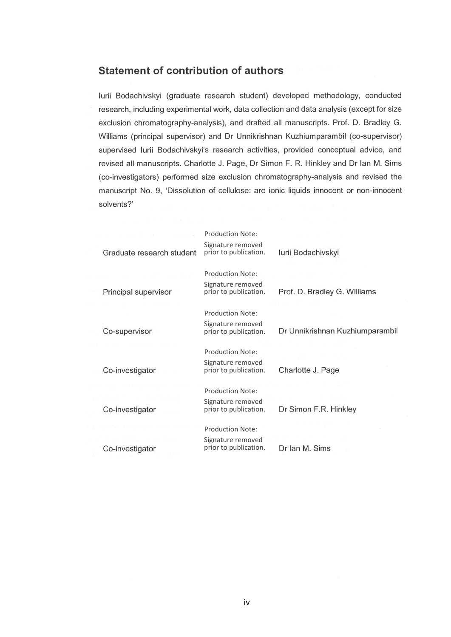#### **Statement of contribution of authors**

lurii Bodachivskyi (graduate research student) developed methodology, conducted research, including experimental work, data collection and data analysis (except for size exclusion chromatography-analysis), and drafted all manuscripts. Prof. D. Bradley G. Williams (principal supervisor) and Dr Unnikrishnan Kuzhiumparambil (co-supervisor) supervised lurii Bodachivskyi's research activities, provided conceptual advice, and revised all manuscripts. Charlotte J. Page, Dr Simon F. R. Hinkley and Dr Ian M. Sims (co-investigators) performed size exclusion chromatography-analysis and revised the manuscript No. 9, 'Dissolution of cellulose: are ionic liquids innocent or non-innocent solvents?'

|                           | <b>Production Note:</b><br>Signature removed |                                 |
|---------------------------|----------------------------------------------|---------------------------------|
| Graduate research student | prior to publication.                        | lurii Bodachivskyi              |
|                           | Production Note:                             |                                 |
| Principal supervisor      | Signature removed<br>prior to publication.   | Prof. D. Bradley G. Williams    |
|                           | Production Note:                             |                                 |
| Co-supervisor             | Signature removed<br>prior to publication.   | Dr Unnikrishnan Kuzhiumparambil |
|                           | Production Note:                             |                                 |
| Co-investigator           | Signature removed<br>prior to publication.   | Charlotte J. Page               |
|                           | Production Note:                             |                                 |
| Co-investigator           | Signature removed<br>prior to publication.   | Dr Simon F.R. Hinkley           |
|                           | <b>Production Note:</b>                      |                                 |
| Co-investigator           | Signature removed<br>prior to publication.   | Dr Ian M. Sims                  |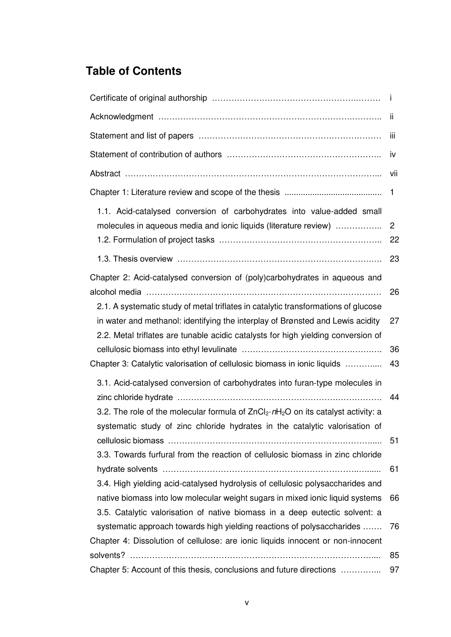## **Table of Contents**

|                                                                                                                                                                                                                                                           | ji                   |
|-----------------------------------------------------------------------------------------------------------------------------------------------------------------------------------------------------------------------------------------------------------|----------------------|
|                                                                                                                                                                                                                                                           | ΪİΙ                  |
|                                                                                                                                                                                                                                                           | iv                   |
|                                                                                                                                                                                                                                                           | Vii                  |
|                                                                                                                                                                                                                                                           | 1                    |
| 1.1. Acid-catalysed conversion of carbohydrates into value-added small<br>molecules in aqueous media and ionic liquids (literature review)                                                                                                                | $\overline{2}$<br>22 |
|                                                                                                                                                                                                                                                           | 23                   |
| Chapter 2: Acid-catalysed conversion of (poly)carbohydrates in aqueous and                                                                                                                                                                                | 26                   |
| 2.1. A systematic study of metal triflates in catalytic transformations of glucose<br>in water and methanol: identifying the interplay of Brønsted and Lewis acidity<br>2.2. Metal triflates are tunable acidic catalysts for high yielding conversion of | 27                   |
| Chapter 3: Catalytic valorisation of cellulosic biomass in ionic liquids                                                                                                                                                                                  | 36<br>43             |
| 3.1. Acid-catalysed conversion of carbohydrates into furan-type molecules in                                                                                                                                                                              | 44                   |
| 3.2. The role of the molecular formula of $ZnCl_2 \cdot nH_2O$ on its catalyst activity: a<br>systematic study of zinc chloride hydrates in the catalytic valorisation of                                                                                 | 51                   |
| 3.3. Towards furfural from the reaction of cellulosic biomass in zinc chloride<br>3.4. High yielding acid-catalysed hydrolysis of cellulosic polysaccharides and                                                                                          | 61                   |
| native biomass into low molecular weight sugars in mixed ionic liquid systems<br>3.5. Catalytic valorisation of native biomass in a deep eutectic solvent: a                                                                                              | 66                   |
| systematic approach towards high yielding reactions of polysaccharides<br>Chapter 4: Dissolution of cellulose: are ionic liquids innocent or non-innocent                                                                                                 | 76                   |
| Chapter 5: Account of this thesis, conclusions and future directions                                                                                                                                                                                      | 85<br>97             |
|                                                                                                                                                                                                                                                           |                      |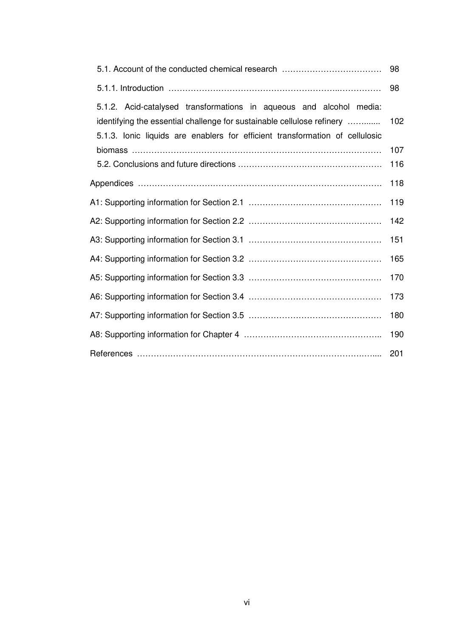|                                                                                                                                                                                                                               | 98  |  |
|-------------------------------------------------------------------------------------------------------------------------------------------------------------------------------------------------------------------------------|-----|--|
| 5.1.2. Acid-catalysed transformations in aqueous and alcohol media:<br>identifying the essential challenge for sustainable cellulose refinery<br>5.1.3. Ionic liquids are enablers for efficient transformation of cellulosic | 102 |  |
|                                                                                                                                                                                                                               | 107 |  |
|                                                                                                                                                                                                                               | 116 |  |
|                                                                                                                                                                                                                               | 118 |  |
|                                                                                                                                                                                                                               | 119 |  |
|                                                                                                                                                                                                                               | 142 |  |
|                                                                                                                                                                                                                               | 151 |  |
|                                                                                                                                                                                                                               | 165 |  |
|                                                                                                                                                                                                                               | 170 |  |
|                                                                                                                                                                                                                               | 173 |  |
|                                                                                                                                                                                                                               | 180 |  |
|                                                                                                                                                                                                                               | 190 |  |
|                                                                                                                                                                                                                               | 201 |  |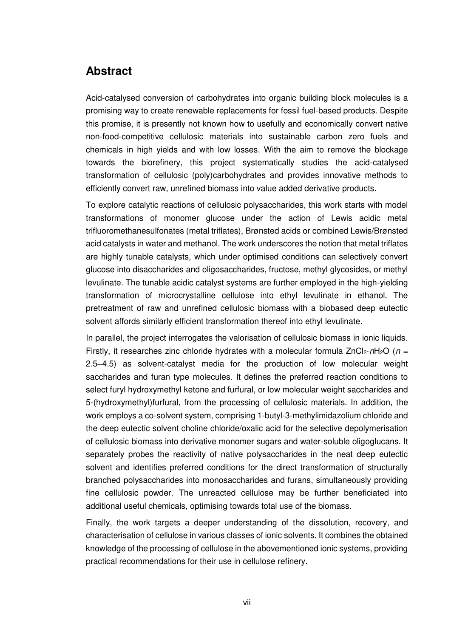### **Abstract**

Acid-catalysed conversion of carbohydrates into organic building block molecules is a promising way to create renewable replacements for fossil fuel-based products. Despite this promise, it is presently not known how to usefully and economically convert native non-food-competitive cellulosic materials into sustainable carbon zero fuels and chemicals in high yields and with low losses. With the aim to remove the blockage towards the biorefinery, this project systematically studies the acid-catalysed transformation of cellulosic (poly)carbohydrates and provides innovative methods to efficiently convert raw, unrefined biomass into value added derivative products.

To explore catalytic reactions of cellulosic polysaccharides, this work starts with model transformations of monomer glucose under the action of Lewis acidic metal trifluoromethanesulfonates (metal triflates), Brønsted acids or combined Lewis/Brønsted acid catalysts in water and methanol. The work underscores the notion that metal triflates are highly tunable catalysts, which under optimised conditions can selectively convert glucose into disaccharides and oligosaccharides, fructose, methyl glycosides, or methyl levulinate. The tunable acidic catalyst systems are further employed in the high-yielding transformation of microcrystalline cellulose into ethyl levulinate in ethanol. The pretreatment of raw and unrefined cellulosic biomass with a biobased deep eutectic solvent affords similarly efficient transformation thereof into ethyl levulinate.

In parallel, the project interrogates the valorisation of cellulosic biomass in ionic liquids. Firstly, it researches zinc chloride hydrates with a molecular formula  $ZnCl_2 \cdot nH_2O$  ( $n=$ 2.5–4.5) as solvent-catalyst media for the production of low molecular weight saccharides and furan type molecules. It defines the preferred reaction conditions to select furyl hydroxymethyl ketone and furfural, or low molecular weight saccharides and 5-(hydroxymethyl)furfural, from the processing of cellulosic materials. In addition, the work employs a co-solvent system, comprising 1-butyl-3-methylimidazolium chloride and the deep eutectic solvent choline chloride/oxalic acid for the selective depolymerisation of cellulosic biomass into derivative monomer sugars and water-soluble oligoglucans. It separately probes the reactivity of native polysaccharides in the neat deep eutectic solvent and identifies preferred conditions for the direct transformation of structurally branched polysaccharides into monosaccharides and furans, simultaneously providing fine cellulosic powder. The unreacted cellulose may be further beneficiated into additional useful chemicals, optimising towards total use of the biomass.

Finally, the work targets a deeper understanding of the dissolution, recovery, and characterisation of cellulose in various classes of ionic solvents. It combines the obtained knowledge of the processing of cellulose in the abovementioned ionic systems, providing practical recommendations for their use in cellulose refinery.